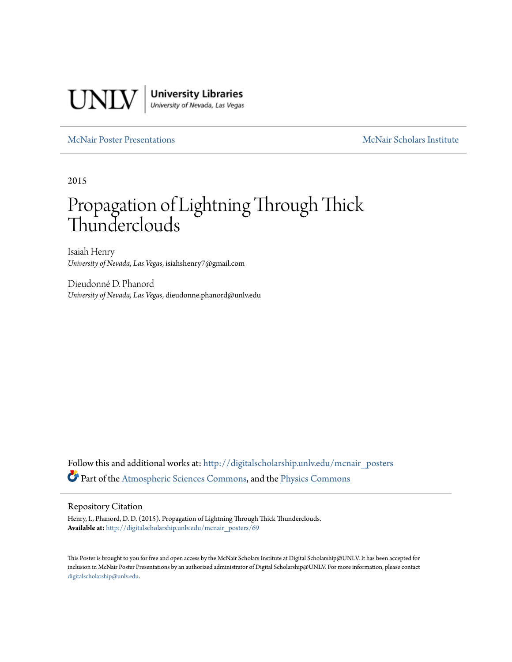

### [McNair Poster Presentations](http://digitalscholarship.unlv.edu/mcnair_posters?utm_source=digitalscholarship.unlv.edu%2Fmcnair_posters%2F69&utm_medium=PDF&utm_campaign=PDFCoverPages) [McNair Scholars Institute](http://digitalscholarship.unlv.edu/mcnair_scholars?utm_source=digitalscholarship.unlv.edu%2Fmcnair_posters%2F69&utm_medium=PDF&utm_campaign=PDFCoverPages)

2015

### Propagation of Lightning Through Thick Thunderclouds

Isaiah Henry *University of Nevada, Las Vegas*, isiahshenry7@gmail.com

Dieudonné D. Phanord *University of Nevada, Las Vegas*, dieudonne.phanord@unlv.edu

Follow this and additional works at: [http://digitalscholarship.unlv.edu/mcnair\\_posters](http://digitalscholarship.unlv.edu/mcnair_posters?utm_source=digitalscholarship.unlv.edu%2Fmcnair_posters%2F69&utm_medium=PDF&utm_campaign=PDFCoverPages) Part of the [Atmospheric Sciences Commons,](http://network.bepress.com/hgg/discipline/187?utm_source=digitalscholarship.unlv.edu%2Fmcnair_posters%2F69&utm_medium=PDF&utm_campaign=PDFCoverPages) and the [Physics Commons](http://network.bepress.com/hgg/discipline/193?utm_source=digitalscholarship.unlv.edu%2Fmcnair_posters%2F69&utm_medium=PDF&utm_campaign=PDFCoverPages)

### Repository Citation

Henry, I., Phanord, D. D. (2015). Propagation of Lightning Through Thick Thunderclouds. **Available at:** [http://digitalscholarship.unlv.edu/mcnair\\_posters/69](http://digitalscholarship.unlv.edu/mcnair_posters/69)

This Poster is brought to you for free and open access by the McNair Scholars Institute at Digital Scholarship@UNLV. It has been accepted for inclusion in McNair Poster Presentations by an authorized administrator of Digital Scholarship@UNLV. For more information, please contact [digitalscholarship@unlv.edu.](mailto:digitalscholarship@unlv.edu)